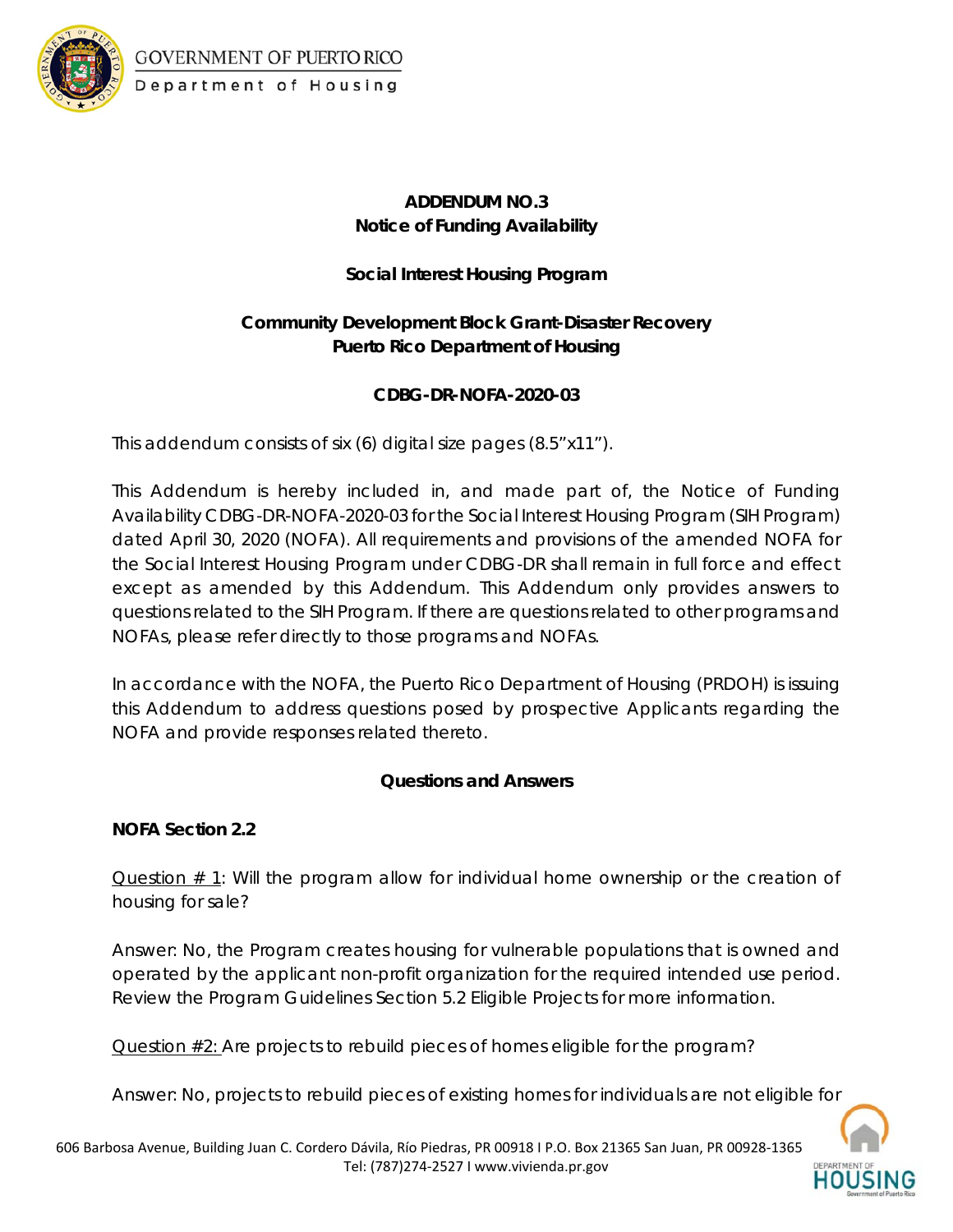

## GOVERNMENT OF PUERTO RICO Department of Housing

## **ADDENDUM NO.3 Notice of Funding Availability**

## **Social Interest Housing Program**

# **Community Development Block Grant-Disaster Recovery Puerto Rico Department of Housing**

### **CDBG-DR-NOFA-2020-03**

This addendum consists of six (6) digital size pages (8.5"x11").

This Addendum is hereby included in, and made part of, the Notice of Funding Availability CDBG-DR-NOFA-2020-03 for the Social Interest Housing Program (SIH Program) dated April 30, 2020 (NOFA). All requirements and provisions of the amended NOFA for the Social Interest Housing Program under CDBG-DR shall remain in full force and effect except as amended by this Addendum. This Addendum only provides answers to questions related to the SIH Program. If there are questions related to other programs and NOFAs, please refer directly to those programs and NOFAs.

In accordance with the NOFA, the Puerto Rico Department of Housing (PRDOH) is issuing this Addendum to address questions posed by prospective Applicants regarding the NOFA and provide responses related thereto.

### **Questions and Answers**

**NOFA Section 2.2** 

Question # 1: Will the program allow for individual home ownership or the creation of housing for sale?

*Answer: No, the Program creates housing for vulnerable populations that is owned and operated by the applicant non-profit organization for the required intended use period. Review the Program Guidelines Section 5.2 Eligible Projects for more information.*

Question #2: Are projects to rebuild pieces of homes eligible for the program?

*Answer: No, projects to rebuild pieces of existing homes for individuals are not eligible for*

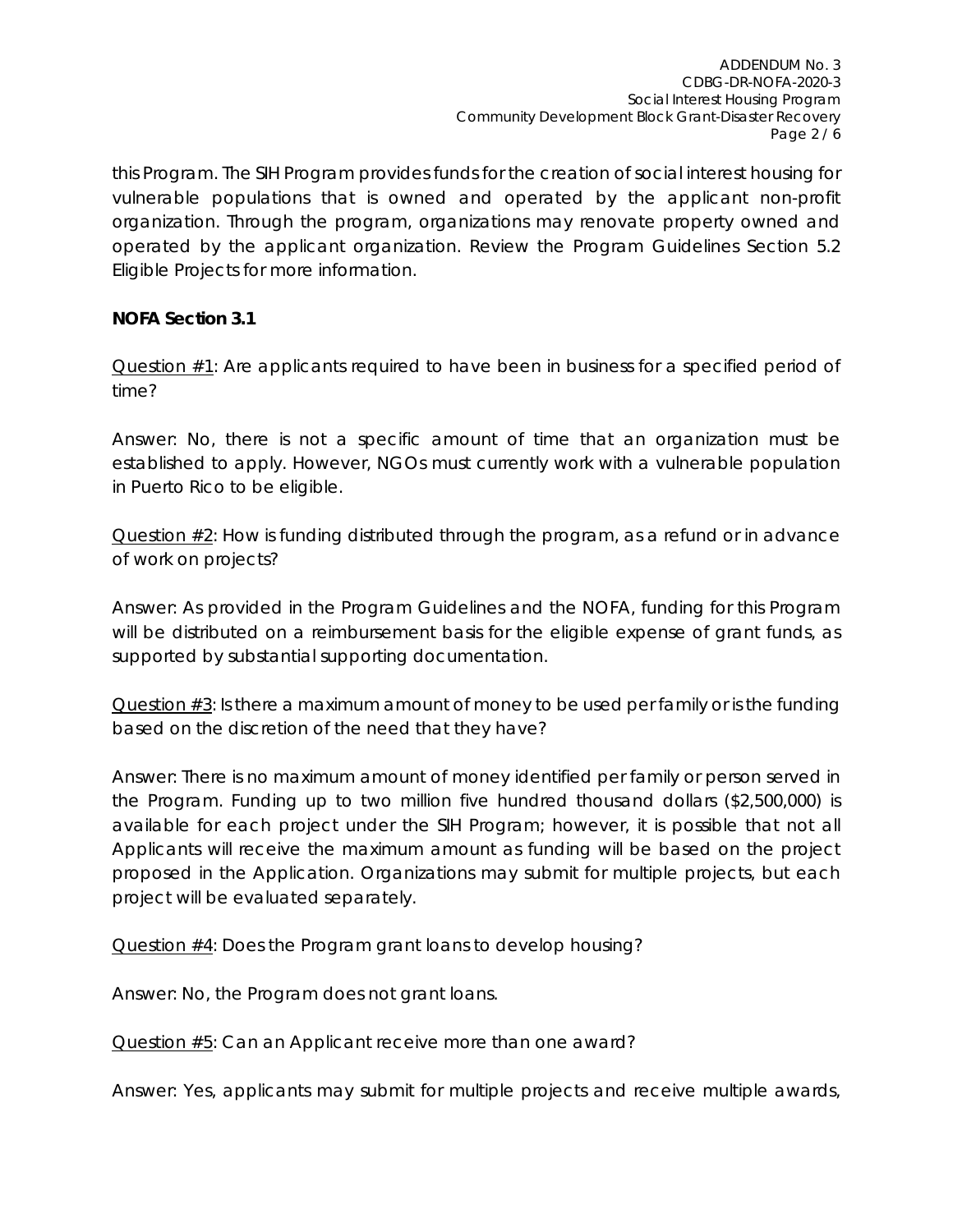*this Program. The SIH Program provides funds for the creation of social interest housing for vulnerable populations that is owned and operated by the applicant non-profit organization. Through the program, organizations may renovate property owned and operated by the applicant organization. Review the Program Guidelines Section 5.2 Eligible Projects for more information.*

### **NOFA Section 3.1**

Question  $#1$ : Are applicants required to have been in business for a specified period of time?

*Answer: No, there is not a specific amount of time that an organization must be established to apply. However, NGOs must currently work with a vulnerable population in Puerto Rico to be eligible.* 

Question #2: How is funding distributed through the program, as a refund or in advance of work on projects?

*Answer: As provided in the Program Guidelines and the NOFA, funding for this Program will be distributed on a reimbursement basis for the eligible expense of grant funds, as supported by substantial supporting documentation.*

Question  $\#3$ : Is there a maximum amount of money to be used per family or is the funding based on the discretion of the need that they have?

*Answer: There is no maximum amount of money identified per family or person served in the Program. Funding up to two million five hundred thousand dollars (\$2,500,000) is available for each project under the SIH Program; however, it is possible that not all Applicants will receive the maximum amount as funding will be based on the project proposed in the Application. Organizations may submit for multiple projects, but each project will be evaluated separately.* 

Question #4: Does the Program grant loans to develop housing?

*Answer: No, the Program does not grant loans.* 

Question #5: Can an Applicant receive more than one award?

*Answer: Yes, applicants may submit for multiple projects and receive multiple awards,*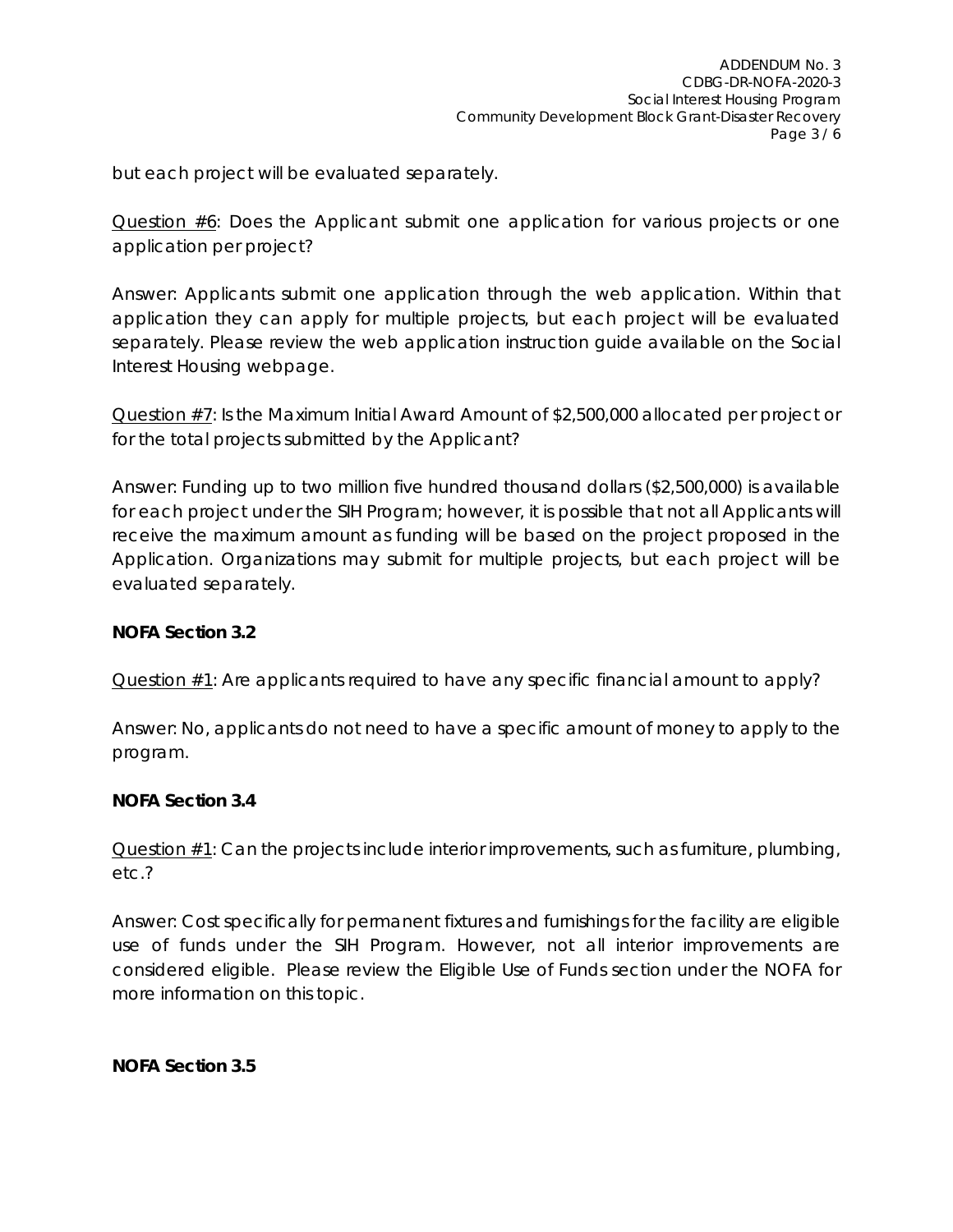*but each project will be evaluated separately.* 

Question  $#6$ : Does the Applicant submit one application for various projects or one application per project?

*Answer: Applicants submit one application through the web application. Within that application they can apply for multiple projects, but each project will be evaluated separately. Please review the web application instruction guide available on the Social Interest Housing webpage.* 

Question #7: Is the Maximum Initial Award Amount of \$2,500,000 allocated per project or for the total projects submitted by the Applicant?

*Answer: Funding up to two million five hundred thousand dollars (\$2,500,000) is available*  for each project under the SIH Program; however, it is possible that not all Applicants will *receive the maximum amount as funding will be based on the project proposed in the Application. Organizations may submit for multiple projects, but each project will be evaluated separately.*

### **NOFA Section 3.2**

Question #1: Are applicants required to have any specific financial amount to apply?

*Answer: No, applicants do not need to have a specific amount of money to apply to the program.* 

### **NOFA Section 3.4**

Question #1: Can the projects include interior improvements, such as furniture, plumbing, etc.?

*Answer: Cost specifically for permanent fixtures and furnishings for the facility are eligible use of funds under the SIH Program. However, not all interior improvements are considered eligible. Please review the Eligible Use of Funds section under the NOFA for more information on this topic.*

**NOFA Section 3.5**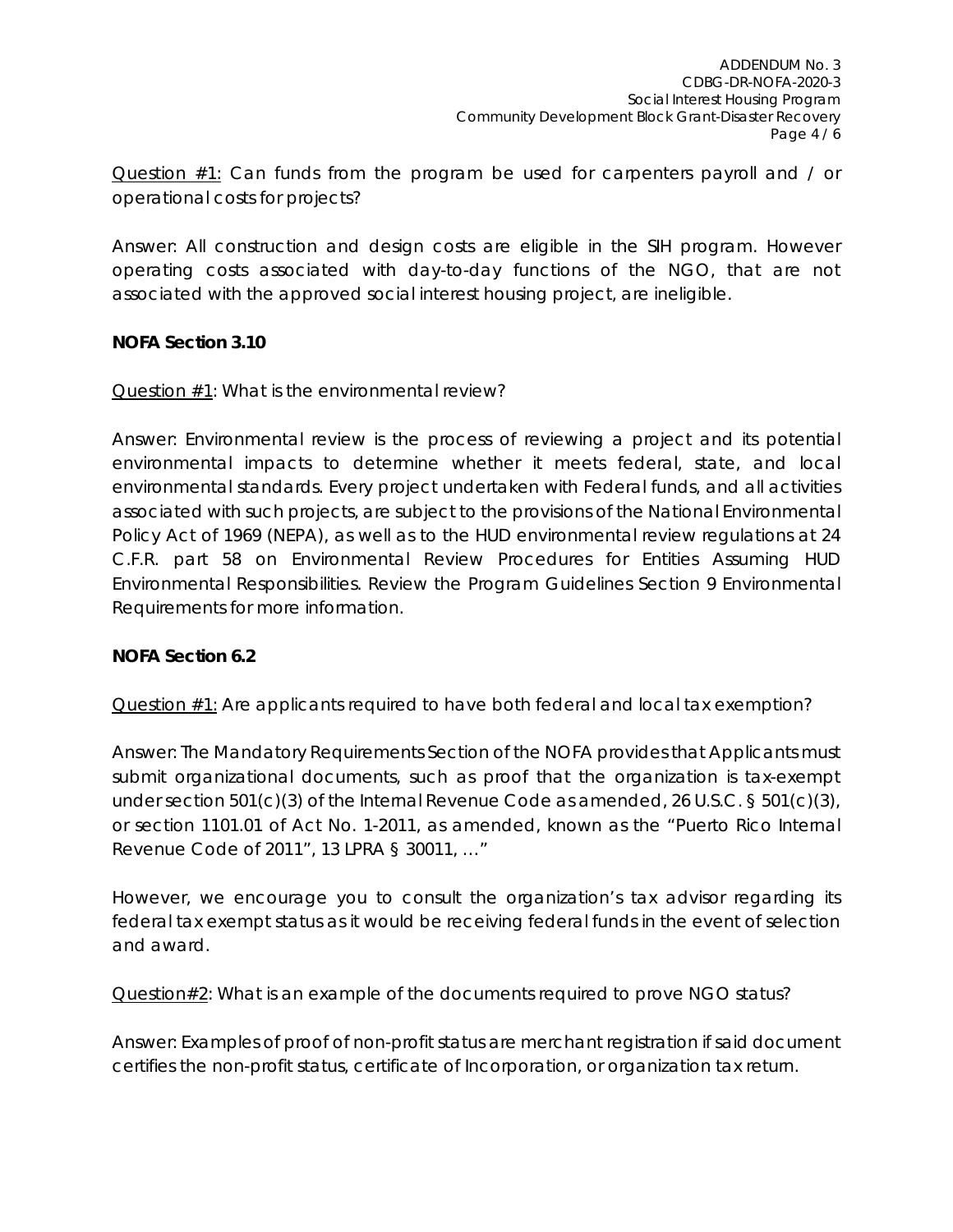Question #1: Can funds from the program be used for carpenters payroll and / or operational costs for projects?

*Answer: All construction and design costs are eligible in the SIH program. However operating costs associated with day-to-day functions of the NGO, that are not associated with the approved social interest housing project, are ineligible.* 

### **NOFA Section 3.10**

Question #1: What is the environmental review?

*Answer: Environmental review is the process of reviewing a project and its potential environmental impacts to determine whether it meets federal, state, and local environmental standards. Every project undertaken with Federal funds, and all activities associated with such projects, are subject to the provisions of the National Environmental Policy Act of 1969 (NEPA), as well as to the HUD environmental review regulations at 24 C.F.R. part 58 on Environmental Review Procedures for Entities Assuming HUD Environmental Responsibilities. Review the Program Guidelines Section 9 Environmental Requirements for more information.*

#### **NOFA Section 6.2**

Question #1: Are applicants required to have both federal and local tax exemption?

*Answer: The Mandatory Requirements Section of the NOFA provides that Applicants must submit organizational documents, such as proof that the organization is tax-exempt under section 501(c)(3) of the Internal Revenue Code as amended, 26 U.S.C. § 501(c)(3), or section 1101.01 of Act No. 1-2011, as amended, known as the "Puerto Rico Internal Revenue Code of 2011", 13 LPRA § 30011, …"*

*However, we encourage you to consult the organization's tax advisor regarding its federal tax exempt status as it would be receiving federal funds in the event of selection and award.*

Question#2: What is an example of the documents required to prove NGO status?

*Answer: Examples of proof of non-profit status are merchant registration if said document certifies the non-profit status, certificate of Incorporation, or organization tax return.*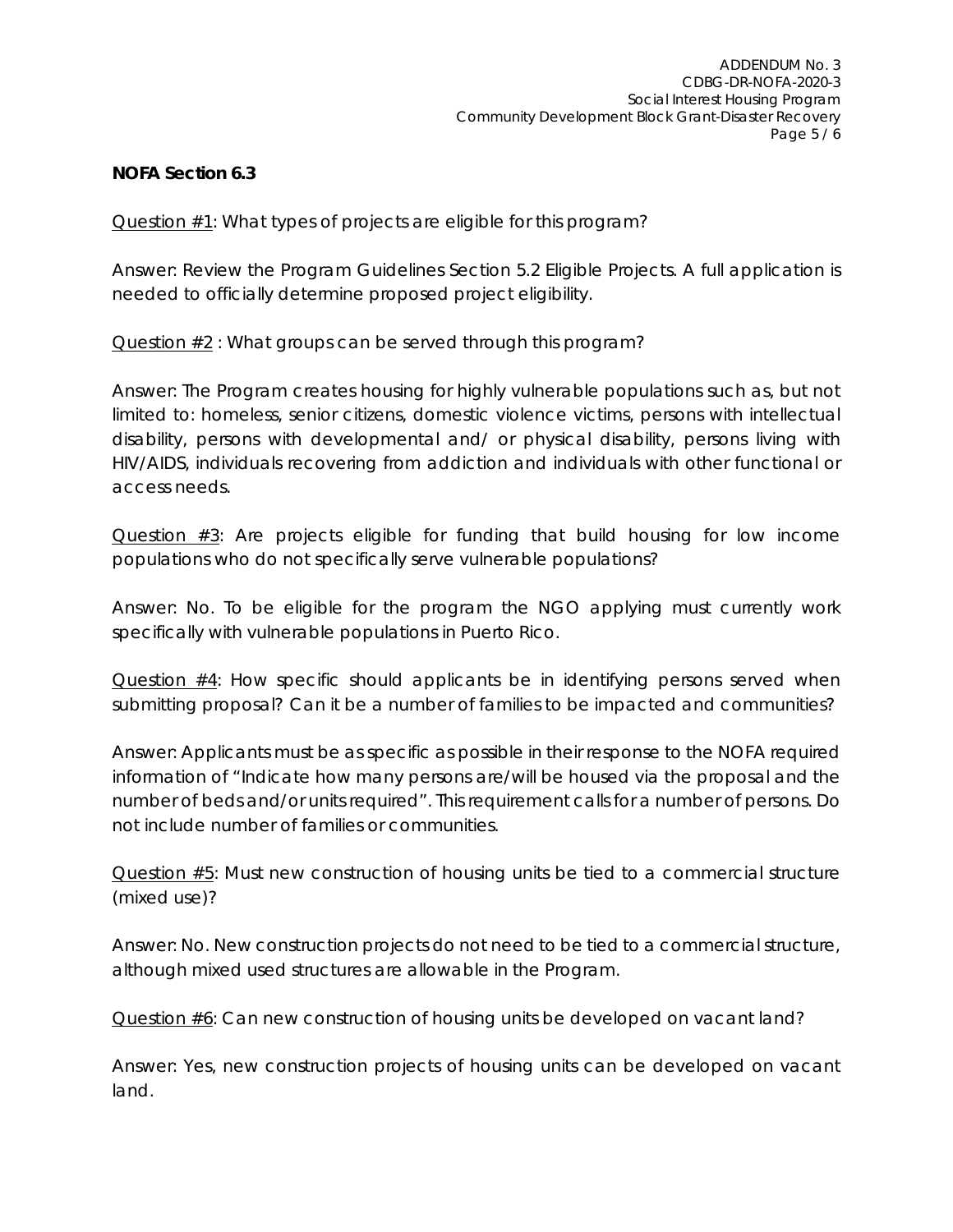#### **NOFA Section 6.3**

Question #1: What types of projects are eligible for this program?

*Answer: Review the Program Guidelines Section 5.2 Eligible Projects. A full application is needed to officially determine proposed project eligibility.*

Question #2 : What groups can be served through this program?

*Answer: The Program creates housing for highly vulnerable populations such as, but not limited to: homeless, senior citizens, domestic violence victims, persons with intellectual disability, persons with developmental and/ or physical disability, persons living with HIV/AIDS, individuals recovering from addiction and individuals with other functional or access needs.* 

Question #3: Are projects eligible for funding that build housing for low income populations who do not specifically serve vulnerable populations?

*Answer: No. To be eligible for the program the NGO applying must currently work specifically with vulnerable populations in Puerto Rico.* 

Question #4: How specific should applicants be in identifying persons served when submitting proposal? Can it be a number of families to be impacted and communities?

*Answer: Applicants must be as specific as possible in their response to the NOFA required information of "Indicate how many persons are/will be housed via the proposal and the number of beds and/or units required". This requirement calls for a number of persons. Do not include number of families or communities.*

Question #5: Must new construction of housing units be tied to a commercial structure (mixed use)?

*Answer: No. New construction projects do not need to be tied to a commercial structure, although mixed used structures are allowable in the Program.*

Question  $#6$ : Can new construction of housing units be developed on vacant land?

*Answer: Yes, new construction projects of housing units can be developed on vacant land.*